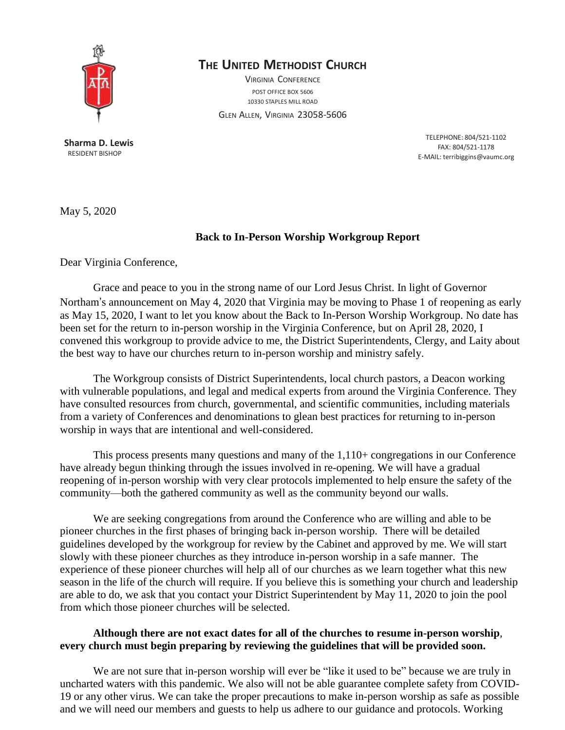

## **THE UNITED METHODIST CHURCH**

VIRGINIA CONFERENCE POST OFFICE BOX 5606 10330 STAPLES MILL ROAD

GLEN ALLEN, VIRGINIA 23058-5606

**Sharma D. Lewis** RESIDENT BISHOP

TELEPHONE: 804/521-1102 FAX: 804/521-1178 E-MAIL: [terribiggins@vaumc.org](mailto:terribiggins@vaumc.org)

May 5, 2020

## **Back to In-Person Worship Workgroup Report**

Dear Virginia Conference,

Grace and peace to you in the strong name of our Lord Jesus Christ. In light of Governor Northam's announcement on May 4, 2020 that Virginia may be moving to Phase 1 of reopening as early as May 15, 2020, I want to let you know about the Back to In-Person Worship Workgroup. No date has been set for the return to in-person worship in the Virginia Conference, but on April 28, 2020, I convened this workgroup to provide advice to me, the District Superintendents, Clergy, and Laity about the best way to have our churches return to in-person worship and ministry safely.

The Workgroup consists of District Superintendents, local church pastors, a Deacon working with vulnerable populations, and legal and medical experts from around the Virginia Conference. They have consulted resources from church, governmental, and scientific communities, including materials from a variety of Conferences and denominations to glean best practices for returning to in-person worship in ways that are intentional and well-considered.

This process presents many questions and many of the 1,110+ congregations in our Conference have already begun thinking through the issues involved in re-opening. We will have a gradual reopening of in-person worship with very clear protocols implemented to help ensure the safety of the community—both the gathered community as well as the community beyond our walls.

We are seeking congregations from around the Conference who are willing and able to be pioneer churches in the first phases of bringing back in-person worship. There will be detailed guidelines developed by the workgroup for review by the Cabinet and approved by me. We will start slowly with these pioneer churches as they introduce in-person worship in a safe manner. The experience of these pioneer churches will help all of our churches as we learn together what this new season in the life of the church will require. If you believe this is something your church and leadership are able to do, we ask that you contact your District Superintendent by May 11, 2020 to join the pool from which those pioneer churches will be selected.

## **Although there are not exact dates for all of the churches to resume in-person worship***,* **every church must begin preparing by reviewing the guidelines that will be provided soon.**

We are not sure that in-person worship will ever be "like it used to be" because we are truly in uncharted waters with this pandemic. We also will not be able guarantee complete safety from COVID-19 or any other virus. We can take the proper precautions to make in-person worship as safe as possible and we will need our members and guests to help us adhere to our guidance and protocols. Working